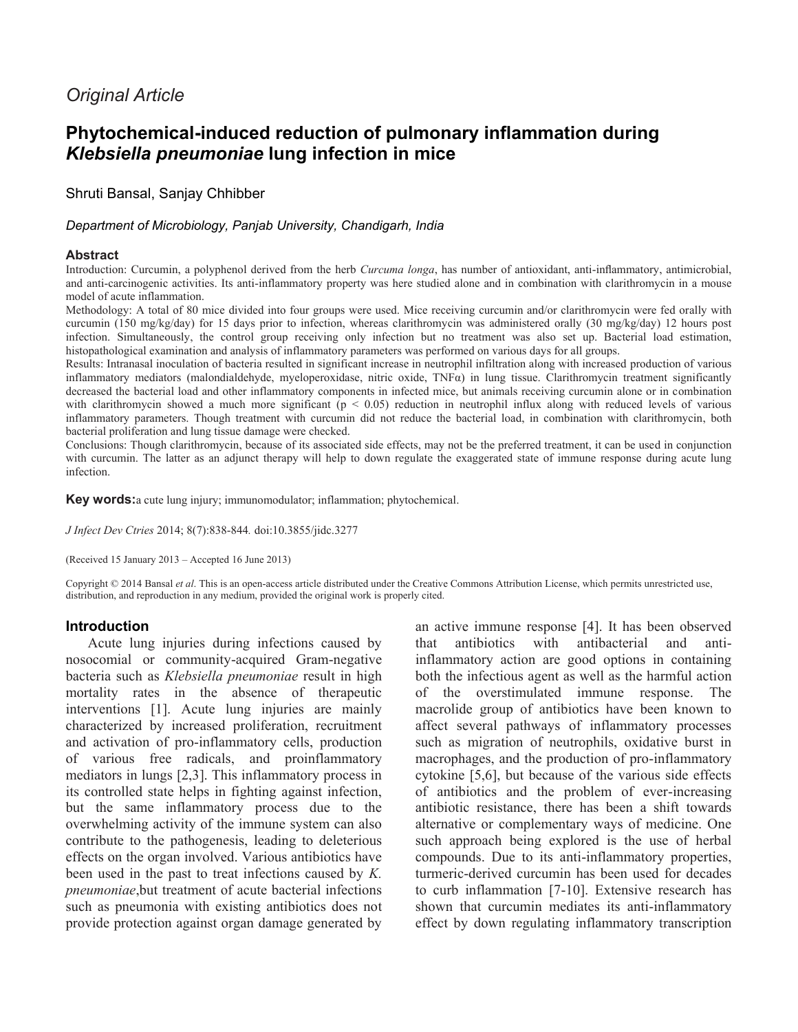# *Original Article*

# **Phytochemical-induced reduction of pulmonary inflammation during**  *Klebsiella pneumoniae* **lung infection in mice**

# Shruti Bansal, Sanjay Chhibber

### *Department of Microbiology, Panjab University, Chandigarh, India*

### **Abstract**

Introduction: Curcumin, a polyphenol derived from the herb *Curcuma longa*, has number of antioxidant, anti-inflammatory, antimicrobial, and anti-carcinogenic activities. Its anti-inflammatory property was here studied alone and in combination with clarithromycin in a mouse model of acute inflammation.

Methodology: A total of 80 mice divided into four groups were used. Mice receiving curcumin and/or clarithromycin were fed orally with curcumin (150 mg/kg/day) for 15 days prior to infection, whereas clarithromycin was administered orally (30 mg/kg/day) 12 hours post infection. Simultaneously, the control group receiving only infection but no treatment was also set up. Bacterial load estimation, histopathological examination and analysis of inflammatory parameters was performed on various days for all groups.

Results: Intranasal inoculation of bacteria resulted in significant increase in neutrophil infiltration along with increased production of various inflammatory mediators (malondialdehyde, myeloperoxidase, nitric oxide, TNF $\alpha$ ) in lung tissue. Clarithromycin treatment significantly decreased the bacterial load and other inflammatory components in infected mice, but animals receiving curcumin alone or in combination with clarithromycin showed a much more significant ( $p < 0.05$ ) reduction in neutrophil influx along with reduced levels of various inflammatory parameters. Though treatment with curcumin did not reduce the bacterial load, in combination with clarithromycin, both bacterial proliferation and lung tissue damage were checked.

Conclusions: Though clarithromycin, because of its associated side effects, may not be the preferred treatment, it can be used in conjunction with curcumin. The latter as an adjunct therapy will help to down regulate the exaggerated state of immune response during acute lung infection.

**Key words:**a cute lung injury; immunomodulator; inflammation; phytochemical.

*J Infect Dev Ctries* 2014; 8(7):838-844*.* doi:10.3855/jidc.3277

(Received 15 January 2013 – Accepted 16 June 2013)

Copyright © 2014 Bansal *et al*. This is an open-access article distributed under the Creative Commons Attribution License, which permits unrestricted use, distribution, and reproduction in any medium, provided the original work is properly cited.

### **Introduction**

Acute lung injuries during infections caused by nosocomial or community-acquired Gram-negative bacteria such as *Klebsiella pneumoniae* result in high mortality rates in the absence of therapeutic interventions [1]. Acute lung injuries are mainly characterized by increased proliferation, recruitment and activation of pro-inflammatory cells, production of various free radicals, and proinflammatory mediators in lungs [2,3]. This inflammatory process in its controlled state helps in fighting against infection, but the same inflammatory process due to the overwhelming activity of the immune system can also contribute to the pathogenesis, leading to deleterious effects on the organ involved. Various antibiotics have been used in the past to treat infections caused by *K. pneumoniae*,but treatment of acute bacterial infections such as pneumonia with existing antibiotics does not provide protection against organ damage generated by

an active immune response [4]. It has been observed that antibiotics with antibacterial and antiinflammatory action are good options in containing both the infectious agent as well as the harmful action of the overstimulated immune response. The macrolide group of antibiotics have been known to affect several pathways of inflammatory processes such as migration of neutrophils, oxidative burst in macrophages, and the production of pro-inflammatory cytokine [5,6], but because of the various side effects of antibiotics and the problem of ever-increasing antibiotic resistance, there has been a shift towards alternative or complementary ways of medicine. One such approach being explored is the use of herbal compounds. Due to its anti-inflammatory properties, turmeric-derived curcumin has been used for decades to curb inflammation [7-10]. Extensive research has shown that curcumin mediates its anti-inflammatory effect by down regulating inflammatory transcription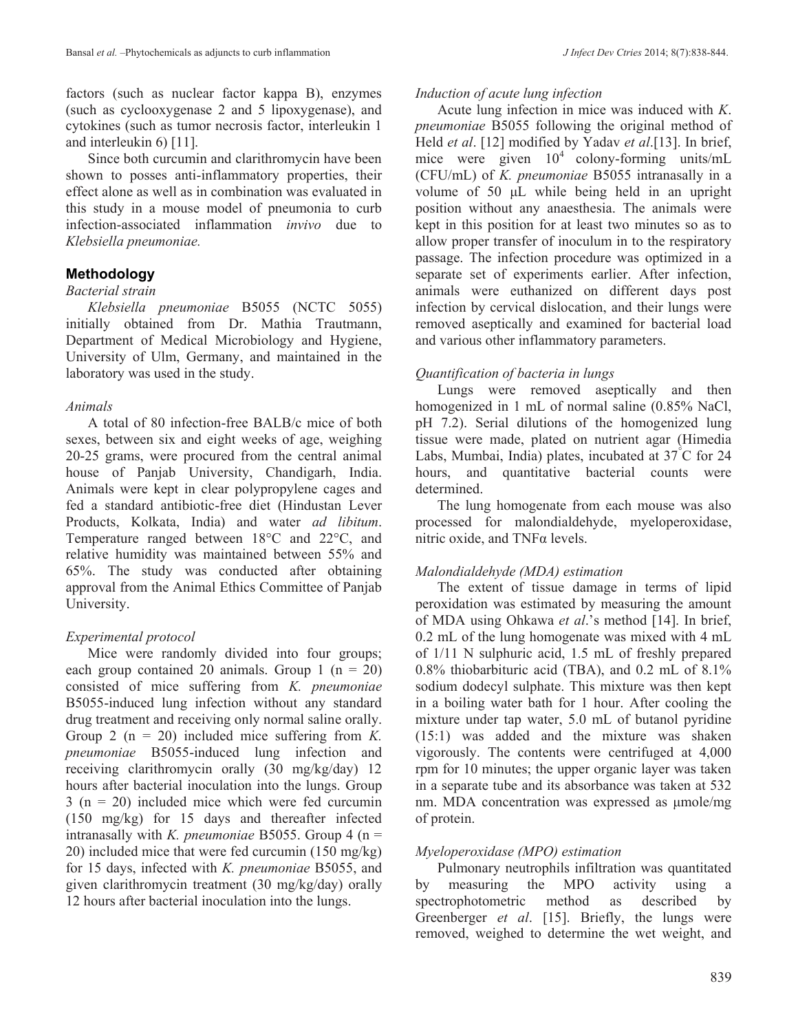factors (such as nuclear factor kappa B), enzymes (such as cyclooxygenase 2 and 5 lipoxygenase), and cytokines (such as tumor necrosis factor, interleukin 1 and interleukin 6) [11].

Since both curcumin and clarithromycin have been shown to posses anti-inflammatory properties, their effect alone as well as in combination was evaluated in this study in a mouse model of pneumonia to curb infection-associated inflammation *invivo* due to *Klebsiella pneumoniae.*

### **Methodology**

### *Bacterial strain*

*Klebsiella pneumoniae* B5055 (NCTC 5055) initially obtained from Dr. Mathia Trautmann, Department of Medical Microbiology and Hygiene, University of Ulm, Germany, and maintained in the laboratory was used in the study.

### *Animals*

A total of 80 infection-free BALB/c mice of both sexes, between six and eight weeks of age, weighing 20-25 grams, were procured from the central animal house of Panjab University, Chandigarh, India. Animals were kept in clear polypropylene cages and fed a standard antibiotic-free diet (Hindustan Lever Products, Kolkata, India) and water *ad libitum*. Temperature ranged between 18°C and 22°C, and relative humidity was maintained between 55% and 65%. The study was conducted after obtaining approval from the Animal Ethics Committee of Panjab University.

### *Experimental protocol*

Mice were randomly divided into four groups; each group contained 20 animals. Group 1 ( $n = 20$ ) consisted of mice suffering from *K. pneumoniae*  B5055-induced lung infection without any standard drug treatment and receiving only normal saline orally. Group 2 (n = 20) included mice suffering from *K. pneumoniae* B5055-induced lung infection and receiving clarithromycin orally (30 mg/kg/day) 12 hours after bacterial inoculation into the lungs. Group  $3$  (n = 20) included mice which were fed curcumin (150 mg/kg) for 15 days and thereafter infected intranasally with *K. pneumoniae* B5055. Group 4 (n = 20) included mice that were fed curcumin (150 mg/kg) for 15 days, infected with *K. pneumoniae* B5055, and given clarithromycin treatment (30 mg/kg/day) orally 12 hours after bacterial inoculation into the lungs.

#### *Induction of acute lung infection*

Acute lung infection in mice was induced with *K*. *pneumoniae* B5055 following the original method of Held *et al*. [12] modified by Yadav *et al*.[13]. In brief, mice were given  $10^4$  colony-forming units/mL (CFU/mL) of *K. pneumoniae* B5055 intranasally in a volume of 50 μL while being held in an upright position without any anaesthesia. The animals were kept in this position for at least two minutes so as to allow proper transfer of inoculum in to the respiratory passage. The infection procedure was optimized in a separate set of experiments earlier. After infection, animals were euthanized on different days post infection by cervical dislocation, and their lungs were removed aseptically and examined for bacterial load and various other inflammatory parameters.

### *Quantification of bacteria in lungs*

Lungs were removed aseptically and then homogenized in 1 mL of normal saline (0.85% NaCl, pH 7.2). Serial dilutions of the homogenized lung tissue were made, plated on nutrient agar (Himedia Labs, Mumbai, India) plates, incubated at 37°C for 24 hours, and quantitative bacterial counts were determined.

The lung homogenate from each mouse was also processed for malondialdehyde, myeloperoxidase, nitric oxide, and TNFα levels.

### *Malondialdehyde (MDA) estimation*

The extent of tissue damage in terms of lipid peroxidation was estimated by measuring the amount of MDA using Ohkawa *et al*.'s method [14]. In brief, 0.2 mL of the lung homogenate was mixed with 4 mL of 1/11 N sulphuric acid, 1.5 mL of freshly prepared 0.8% thiobarbituric acid (TBA), and 0.2 mL of 8.1% sodium dodecyl sulphate. This mixture was then kept in a boiling water bath for 1 hour. After cooling the mixture under tap water, 5.0 mL of butanol pyridine (15:1) was added and the mixture was shaken vigorously. The contents were centrifuged at 4,000 rpm for 10 minutes; the upper organic layer was taken in a separate tube and its absorbance was taken at 532 nm. MDA concentration was expressed as μmole/mg of protein.

### *Myeloperoxidase (MPO) estimation*

Pulmonary neutrophils infiltration was quantitated by measuring the MPO activity using a spectrophotometric method as described by Greenberger *et al*. [15]. Briefly, the lungs were removed, weighed to determine the wet weight, and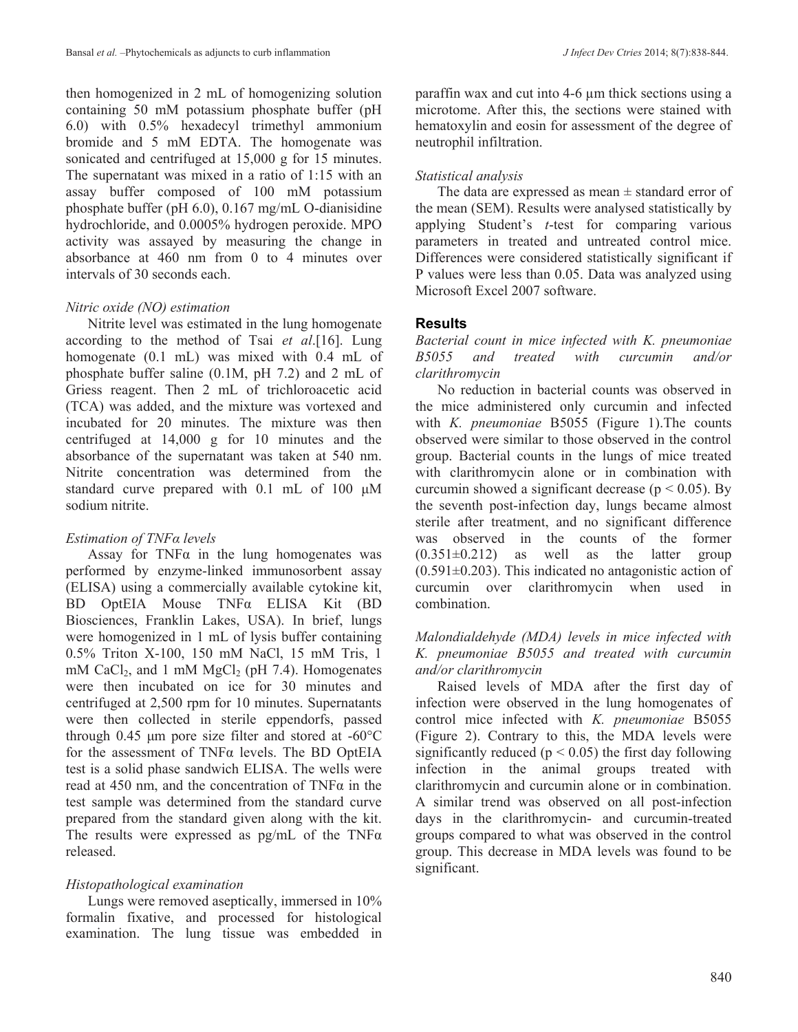then homogenized in 2 mL of homogenizing solution containing 50 mM potassium phosphate buffer (pH 6.0) with 0.5% hexadecyl trimethyl ammonium bromide and 5 mM EDTA. The homogenate was sonicated and centrifuged at 15,000 g for 15 minutes. The supernatant was mixed in a ratio of 1:15 with an assay buffer composed of 100 mM potassium phosphate buffer (pH 6.0), 0.167 mg/mL O-dianisidine hydrochloride, and 0.0005% hydrogen peroxide. MPO activity was assayed by measuring the change in absorbance at 460 nm from 0 to 4 minutes over intervals of 30 seconds each.

# *Nitric oxide (NO) estimation*

Nitrite level was estimated in the lung homogenate according to the method of Tsai *et al*.[16]. Lung homogenate (0.1 mL) was mixed with 0.4 mL of phosphate buffer saline (0.1M, pH 7.2) and 2 mL of Griess reagent. Then 2 mL of trichloroacetic acid (TCA) was added, and the mixture was vortexed and incubated for 20 minutes. The mixture was then centrifuged at 14,000 g for 10 minutes and the absorbance of the supernatant was taken at 540 nm. Nitrite concentration was determined from the standard curve prepared with 0.1 mL of 100 μM sodium nitrite.

# *Estimation of TNFα levels*

Assay for  $TNF\alpha$  in the lung homogenates was performed by enzyme-linked immunosorbent assay (ELISA) using a commercially available cytokine kit, BD OptEIA Mouse TNFα ELISA Kit (BD Biosciences, Franklin Lakes, USA). In brief, lungs were homogenized in 1 mL of lysis buffer containing 0.5% Triton X-100, 150 mM NaCl, 15 mM Tris, 1 mM CaCl<sub>2</sub>, and 1 mM MgCl<sub>2</sub> (pH 7.4). Homogenates were then incubated on ice for 30 minutes and centrifuged at 2,500 rpm for 10 minutes. Supernatants were then collected in sterile eppendorfs, passed through 0.45 μm pore size filter and stored at -60°C for the assessment of TNFα levels. The BD OptEIA test is a solid phase sandwich ELISA. The wells were read at 450 nm, and the concentration of  $TNF\alpha$  in the test sample was determined from the standard curve prepared from the standard given along with the kit. The results were expressed as  $pg/mL$  of the TNF $\alpha$ released.

# *Histopathological examination*

Lungs were removed aseptically, immersed in 10% formalin fixative, and processed for histological examination. The lung tissue was embedded in paraffin wax and cut into 4-6 µm thick sections using a microtome. After this, the sections were stained with hematoxylin and eosin for assessment of the degree of neutrophil infiltration.

# *Statistical analysis*

The data are expressed as mean  $\pm$  standard error of the mean (SEM). Results were analysed statistically by applying Student's *t*-test for comparing various parameters in treated and untreated control mice. Differences were considered statistically significant if P values were less than 0.05. Data was analyzed using Microsoft Excel 2007 software.

# **Results**

*Bacterial count in mice infected with K. pneumoniae B5055 and treated with curcumin and/or clarithromycin*

No reduction in bacterial counts was observed in the mice administered only curcumin and infected with *K. pneumoniae* B5055 (Figure 1).The counts observed were similar to those observed in the control group. Bacterial counts in the lungs of mice treated with clarithromycin alone or in combination with curcumin showed a significant decrease ( $p < 0.05$ ). By the seventh post-infection day, lungs became almost sterile after treatment, and no significant difference was observed in the counts of the former  $(0.351 \pm 0.212)$  as well as the latter group  $(0.591\pm0.203)$ . This indicated no antagonistic action of curcumin over clarithromycin when used in combination.

# *Malondialdehyde (MDA) levels in mice infected with K. pneumoniae B5055 and treated with curcumin and/or clarithromycin*

Raised levels of MDA after the first day of infection were observed in the lung homogenates of control mice infected with *K. pneumoniae* B5055 (Figure 2). Contrary to this, the MDA levels were significantly reduced ( $p < 0.05$ ) the first day following infection in the animal groups treated with clarithromycin and curcumin alone or in combination. A similar trend was observed on all post-infection days in the clarithromycin- and curcumin-treated groups compared to what was observed in the control group. This decrease in MDA levels was found to be significant.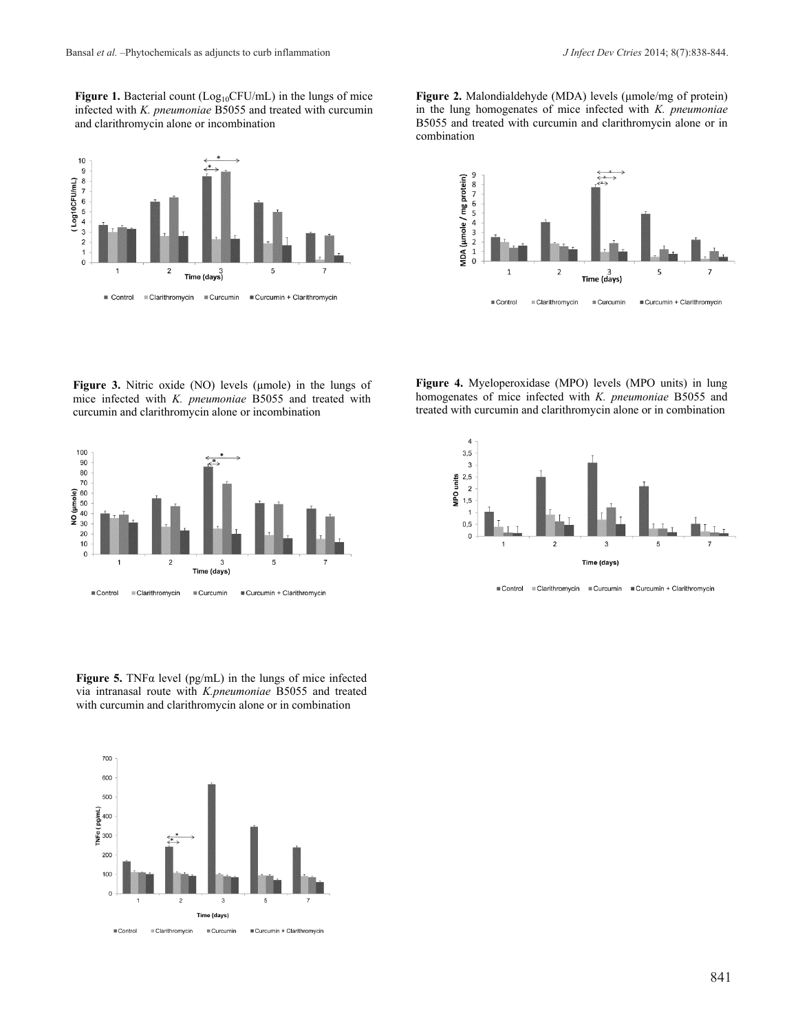Figure 1. Bacterial count (Log<sub>10</sub>CFU/mL) in the lungs of mice infected with *K. pneumoniae* B5055 and treated with curcumin and clarithromycin alone or incombination



**Figure 3.** Nitric oxide (NO) levels (μmole) in the lungs of mice infected with *K. pneumoniae* B5055 and treated with curcumin and clarithromycin alone or incombination



**Figure 5.** TNFα level (pg/mL) in the lungs of mice infected via intranasal route with *K.pneumoniae* B5055 and treated with curcumin and clarithromycin alone or in combination



**Figure 2.** Malondialdehyde (MDA) levels (μmole/mg of protein) in the lung homogenates of mice infected with *K. pneumoniae*  B5055 and treated with curcumin and clarithromycin alone or in combination



**Figure 4.** Myeloperoxidase (MPO) levels (MPO units) in lung homogenates of mice infected with *K. pneumoniae* B5055 and treated with curcumin and clarithromycin alone or in combination



Clarithromycin Curcumin Curcumin + Clarithromycin ■ Control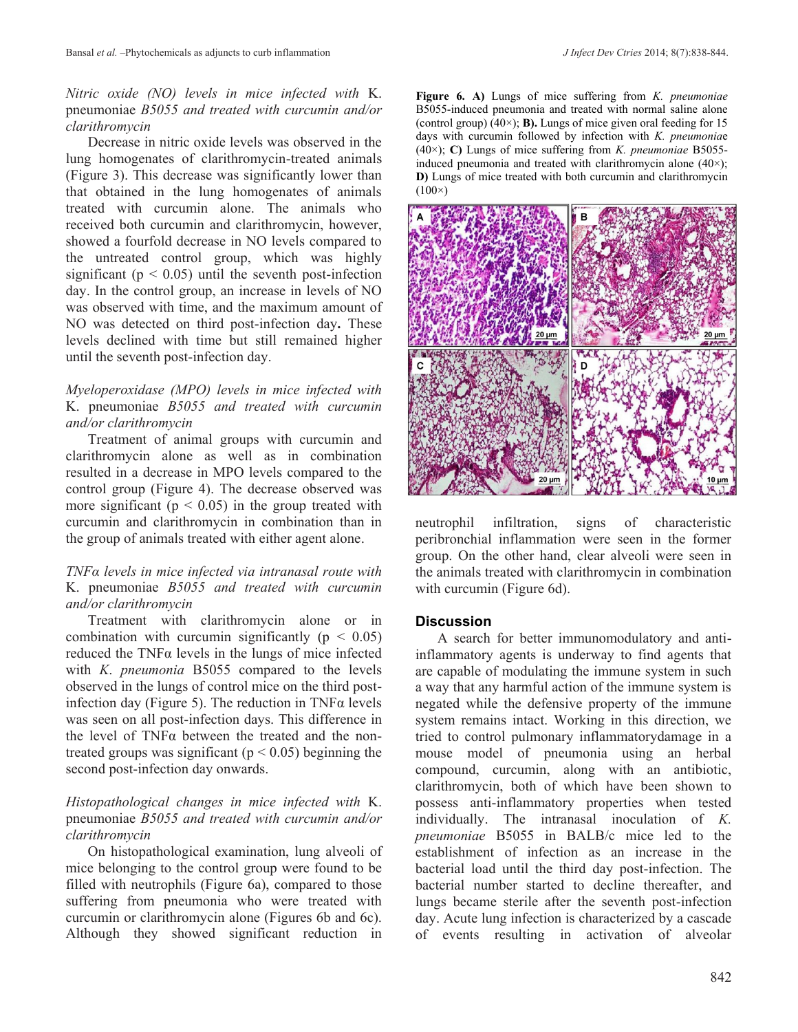### *Nitric oxide (NO) levels in mice infected with* K. pneumoniae *B5055 and treated with curcumin and/or clarithromycin*

Decrease in nitric oxide levels was observed in the lung homogenates of clarithromycin-treated animals (Figure 3). This decrease was significantly lower than that obtained in the lung homogenates of animals treated with curcumin alone. The animals who received both curcumin and clarithromycin, however, showed a fourfold decrease in NO levels compared to the untreated control group, which was highly significant ( $p < 0.05$ ) until the seventh post-infection day. In the control group, an increase in levels of NO was observed with time, and the maximum amount of NO was detected on third post-infection day**.** These levels declined with time but still remained higher until the seventh post-infection day.

# *Myeloperoxidase (MPO) levels in mice infected with*  K. pneumoniae *B5055 and treated with curcumin and/or clarithromycin*

Treatment of animal groups with curcumin and clarithromycin alone as well as in combination resulted in a decrease in MPO levels compared to the control group (Figure 4). The decrease observed was more significant ( $p < 0.05$ ) in the group treated with curcumin and clarithromycin in combination than in the group of animals treated with either agent alone.

### *TNFα levels in mice infected via intranasal route with*  K. pneumoniae *B5055 and treated with curcumin and/or clarithromycin*

Treatment with clarithromycin alone or in combination with curcumin significantly ( $p < 0.05$ ) reduced the TNFα levels in the lungs of mice infected with *K*. *pneumonia* B5055 compared to the levels observed in the lungs of control mice on the third postinfection day (Figure 5). The reduction in TNFα levels was seen on all post-infection days. This difference in the level of TNFα between the treated and the nontreated groups was significant ( $p < 0.05$ ) beginning the second post-infection day onwards.

# *Histopathological changes in mice infected with* K. pneumoniae *B5055 and treated with curcumin and/or clarithromycin*

On histopathological examination, lung alveoli of mice belonging to the control group were found to be filled with neutrophils (Figure 6a), compared to those suffering from pneumonia who were treated with curcumin or clarithromycin alone (Figures 6b and 6c). Although they showed significant reduction in

**Figure 6. A)** Lungs of mice suffering from *K. pneumoniae*  B5055-induced pneumonia and treated with normal saline alone (control group) (40×); **B).** Lungs of mice given oral feeding for 15 days with curcumin followed by infection with *K. pneumonia*e (40×); **C)** Lungs of mice suffering from *K. pneumoniae* B5055 induced pneumonia and treated with clarithromycin alone (40×); **D)** Lungs of mice treated with both curcumin and clarithromycin  $(100\times)$ 



neutrophil infiltration, signs of characteristic peribronchial inflammation were seen in the former group. On the other hand, clear alveoli were seen in the animals treated with clarithromycin in combination with curcumin (Figure 6d).

### **Discussion**

A search for better immunomodulatory and antiinflammatory agents is underway to find agents that are capable of modulating the immune system in such a way that any harmful action of the immune system is negated while the defensive property of the immune system remains intact. Working in this direction, we tried to control pulmonary inflammatorydamage in a mouse model of pneumonia using an herbal compound, curcumin, along with an antibiotic, clarithromycin, both of which have been shown to possess anti-inflammatory properties when tested individually. The intranasal inoculation of *K. pneumoniae* B5055 in BALB/c mice led to the establishment of infection as an increase in the bacterial load until the third day post-infection. The bacterial number started to decline thereafter, and lungs became sterile after the seventh post-infection day. Acute lung infection is characterized by a cascade of events resulting in activation of alveolar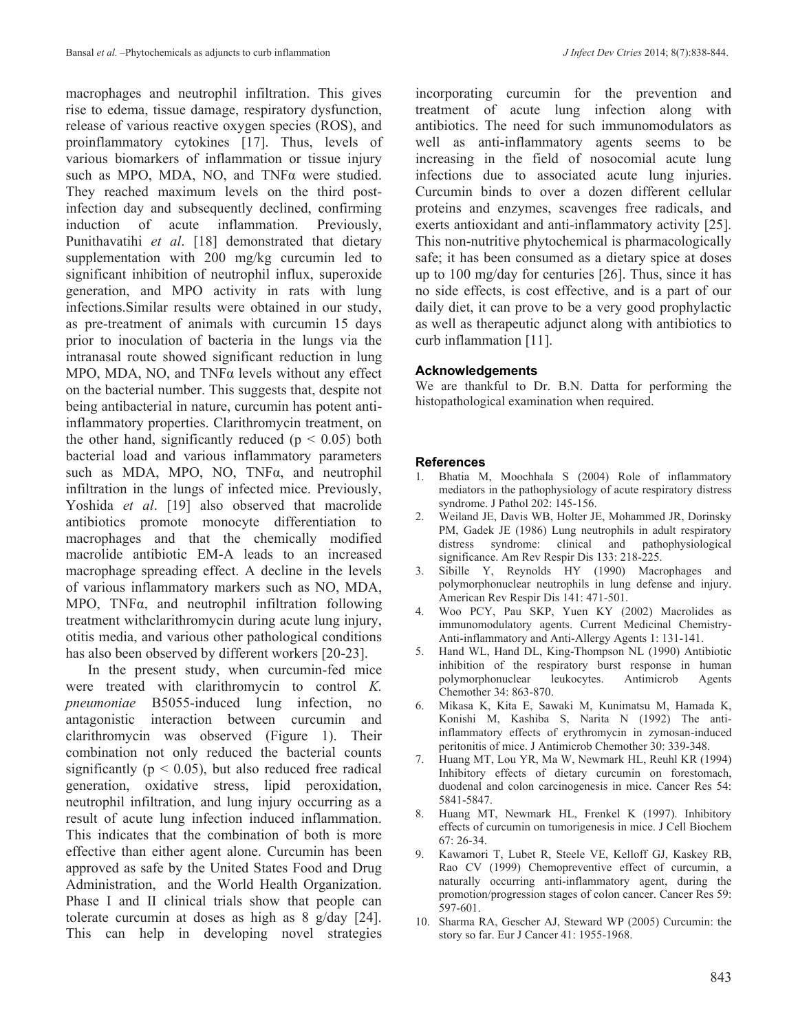macrophages and neutrophil infiltration. This gives rise to edema, tissue damage, respiratory dysfunction, release of various reactive oxygen species (ROS), and proinflammatory cytokines [17]. Thus, levels of various biomarkers of inflammation or tissue injury such as MPO, MDA, NO, and TNFα were studied. They reached maximum levels on the third postinfection day and subsequently declined, confirming induction of acute inflammation. Previously, Punithavatihi *et al*. [18] demonstrated that dietary supplementation with 200 mg/kg curcumin led to significant inhibition of neutrophil influx, superoxide generation, and MPO activity in rats with lung infections.Similar results were obtained in our study, as pre-treatment of animals with curcumin 15 days prior to inoculation of bacteria in the lungs via the intranasal route showed significant reduction in lung MPO, MDA, NO, and TNFα levels without any effect on the bacterial number. This suggests that, despite not being antibacterial in nature, curcumin has potent antiinflammatory properties. Clarithromycin treatment, on the other hand, significantly reduced ( $p < 0.05$ ) both bacterial load and various inflammatory parameters such as MDA, MPO, NO, TNFα, and neutrophil infiltration in the lungs of infected mice. Previously, Yoshida *et al*. [19] also observed that macrolide antibiotics promote monocyte differentiation to macrophages and that the chemically modified macrolide antibiotic EM-A leads to an increased macrophage spreading effect. A decline in the levels of various inflammatory markers such as NO, MDA, MPO, TNFα, and neutrophil infiltration following treatment withclarithromycin during acute lung injury, otitis media, and various other pathological conditions has also been observed by different workers [20-23].

In the present study, when curcumin-fed mice were treated with clarithromycin to control *K. pneumoniae* B5055-induced lung infection, no antagonistic interaction between curcumin and clarithromycin was observed (Figure 1). Their combination not only reduced the bacterial counts significantly ( $p < 0.05$ ), but also reduced free radical generation, oxidative stress, lipid peroxidation, neutrophil infiltration, and lung injury occurring as a result of acute lung infection induced inflammation. This indicates that the combination of both is more effective than either agent alone. Curcumin has been approved as safe by the United States Food and Drug Administration, and the World Health Organization. Phase I and II clinical trials show that people can tolerate curcumin at doses as high as 8 g/day [24]. This can help in developing novel strategies incorporating curcumin for the prevention and treatment of acute lung infection along with antibiotics. The need for such immunomodulators as well as anti-inflammatory agents seems to be increasing in the field of nosocomial acute lung infections due to associated acute lung injuries. Curcumin binds to over a dozen different cellular proteins and enzymes, scavenges free radicals, and exerts antioxidant and anti-inflammatory activity [25]. This non-nutritive phytochemical is pharmacologically safe; it has been consumed as a dietary spice at doses up to 100 mg/day for centuries [26]. Thus, since it has no side effects, is cost effective, and is a part of our daily diet, it can prove to be a very good prophylactic as well as therapeutic adjunct along with antibiotics to curb inflammation [11].

### **Acknowledgements**

We are thankful to Dr. B.N. Datta for performing the histopathological examination when required.

### **References**

- 1. Bhatia M, Moochhala S (2004) Role of inflammatory mediators in the pathophysiology of acute respiratory distress syndrome. J Pathol 202: 145-156.
- 2. Weiland JE, Davis WB, Holter JE, Mohammed JR, Dorinsky PM, Gadek JE (1986) Lung neutrophils in adult respiratory distress syndrome: clinical and pathophysiological significance. Am Rev Respir Dis 133: 218-225.
- 3. Sibille Y, Reynolds HY (1990) Macrophages and polymorphonuclear neutrophils in lung defense and injury. American Rev Respir Dis 141: 471-501.
- 4. Woo PCY, Pau SKP, Yuen KY (2002) Macrolides as immunomodulatory agents. Current Medicinal Chemistry-Anti-inflammatory and Anti-Allergy Agents 1: 131-141.
- 5. Hand WL, Hand DL, King-Thompson NL (1990) Antibiotic inhibition of the respiratory burst response in human polymorphonuclear leukocytes. Antimicrob Agents Chemother 34: 863-870.
- 6. Mikasa K, Kita E, Sawaki M, Kunimatsu M, Hamada K, Konishi M, Kashiba S, Narita N (1992) The antiinflammatory effects of erythromycin in zymosan-induced peritonitis of mice. J Antimicrob Chemother 30: 339-348.
- 7. Huang MT, Lou YR, Ma W, Newmark HL, Reuhl KR (1994) Inhibitory effects of dietary curcumin on forestomach, duodenal and colon carcinogenesis in mice. Cancer Res 54: 5841-5847.
- 8. Huang MT, Newmark HL, Frenkel K (1997). Inhibitory effects of curcumin on tumorigenesis in mice. J Cell Biochem 67: 26-34.
- 9. Kawamori T, Lubet R, Steele VE, Kelloff GJ, Kaskey RB, Rao CV (1999) Chemopreventive effect of curcumin, a naturally occurring anti-inflammatory agent, during the promotion/progression stages of colon cancer. Cancer Res 59: 597-601.
- 10. Sharma RA, Gescher AJ, Steward WP (2005) Curcumin: the story so far. Eur J Cancer 41: 1955-1968.